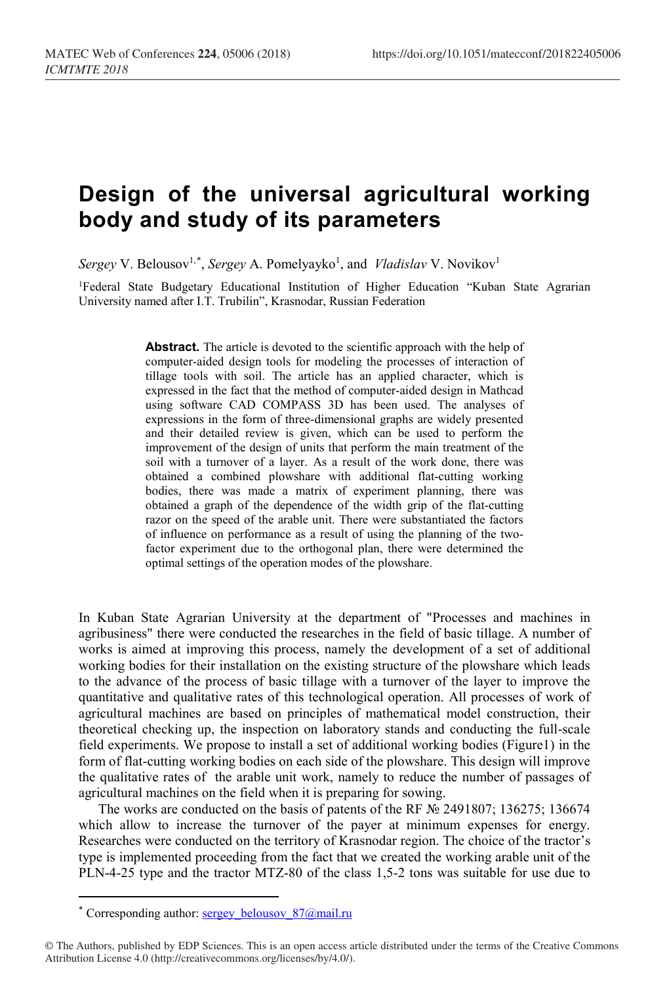## **Design of the universal agricultural working body and study of its parameters**

Sergey V. Belousov<sup>1,[\\*](#page-0-0)</sup>, *Sergey* A. Pomelyayko<sup>1</sup>, and *Vladislav* V. Novikov<sup>1</sup>

1Federal State Budgetary Educational Institution of Higher Education "Kuban State Agrarian University named after I.T. Trubilin", Krasnodar, Russian Federation

> **Abstract.** The article is devoted to the scientific approach with the help of computer-aided design tools for modeling the processes of interaction of tillage tools with soil. The article has an applied character, which is expressed in the fact that the method of computer-aided design in Mathcad using software CAD COMPASS 3D has been used. The analyses of expressions in the form of three-dimensional graphs are widely presented and their detailed review is given, which can be used to perform the improvement of the design of units that perform the main treatment of the soil with a turnover of a layer. As a result of the work done, there was obtained a combined plowshare with additional flat-cutting working bodies, there was made a matrix of experiment planning, there was obtained a graph of the dependence of the width grip of the flat-cutting razor on the speed of the arable unit. There were substantiated the factors of influence on performance as a result of using the planning of the twofactor experiment due to the orthogonal plan, there were determined the optimal settings of the operation modes of the plowshare.

In Kuban State Agrarian University at the department of "Processes and machines in agribusiness" there were conducted the researches in the field of basic tillage. A number of works is aimed at improving this process, namely the development of a set of additional working bodies for their installation on the existing structure of the plowshare which leads to the advance of the process of basic tillage with a turnover of the layer to improve the quantitative and qualitative rates of this technological operation. All processes of work of agricultural machines are based on principles of mathematical model construction, their theoretical checking up, the inspection on laboratory stands and conducting the full-scale field experiments. We propose to install a set of additional working bodies (Figure1) in the form of flat-cutting working bodies on each side of the plowshare. This design will improve the qualitative rates of the arable unit work, namely to reduce the number of passages of agricultural machines on the field when it is preparing for sowing.

The works are conducted on the basis of patents of the RF № 2491807; 136275; 136674 which allow to increase the turnover of the payer at minimum expenses for energy. Researches were conducted on the territory of Krasnodar region. The choice of the tractor's type is implemented proceeding from the fact that we created the working arable unit of the PLN-4-25 type and the tractor MTZ-80 of the class 1,5-2 tons was suitable for use due to

 $\overline{\phantom{a}}$ 

<sup>\*</sup> Corresponding author: sergey\_belousov\_87@mail.ru

<span id="page-0-0"></span><sup>©</sup> The Authors, published by EDP Sciences. This is an open access article distributed under the terms of the Creative Commons Attribution License 4.0 (http://creativecommons.org/licenses/by/4.0/).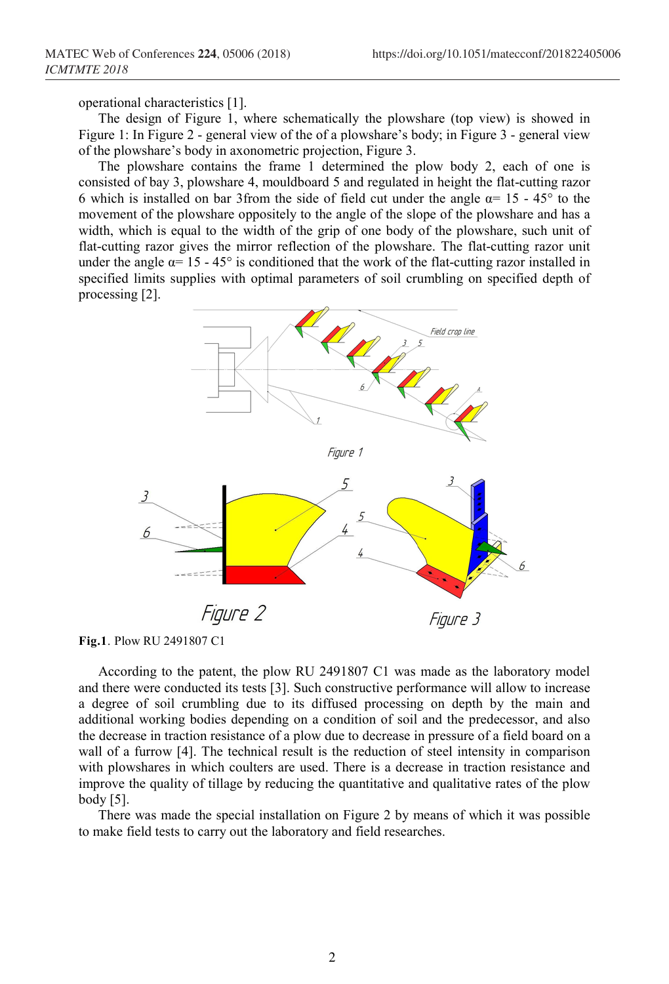operational characteristics [1].

The design of Figure 1, where schematically the plowshare (top view) is showed in Figure 1: In Figure 2 - general view of the of a plowshare's body; in Figure 3 - general view of the plowshare's body in axonometric projection, Figure 3.

The plowshare contains the frame 1 determined the plow body 2, each of one is consisted of bay 3, plowshare 4, mouldboard 5 and regulated in height the flat-cutting razor 6 which is installed on bar 3from the side of field cut under the angle  $\alpha$ = 15 - 45° to the movement of the plowshare oppositely to the angle of the slope of the plowshare and has a width, which is equal to the width of the grip of one body of the plowshare, such unit of flat-cutting razor gives the mirror reflection of the plowshare. The flat-cutting razor unit under the angle  $\alpha$ = 15 - 45° is conditioned that the work of the flat-cutting razor installed in specified limits supplies with optimal parameters of soil crumbling on specified depth of processing [2].



**Fig.1**. Plow RU 2491807 C1

According to the patent, the plow RU 2491807 C1 was made as the laboratory model and there were conducted its tests [3]. Such constructive performance will allow to increase a degree of soil crumbling due to its diffused processing on depth by the main and additional working bodies depending on a condition of soil and the predecessor, and also the decrease in traction resistance of a plow due to decrease in pressure of a field board on a wall of a furrow [4]. The technical result is the reduction of steel intensity in comparison with plowshares in which coulters are used. There is a decrease in traction resistance and improve the quality of tillage by reducing the quantitative and qualitative rates of the plow body [5].

There was made the special installation on Figure 2 by means of which it was possible to make field tests to carry out the laboratory and field researches.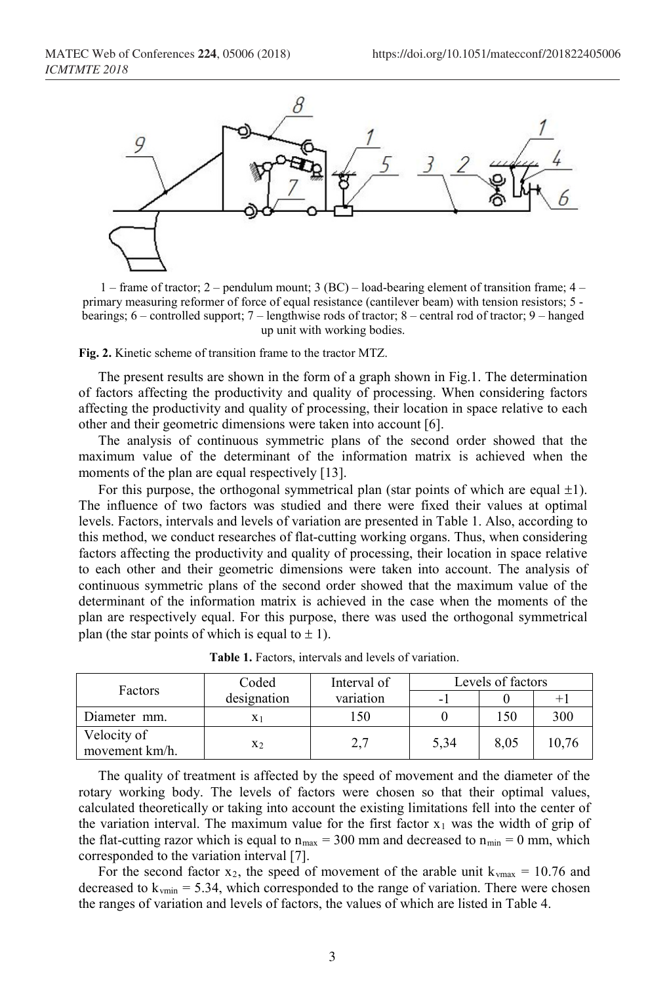

1 – frame of tractor; 2 – pendulum mount; 3 (ВС) – load-bearing element of transition frame; 4 – primary measuring reformer of force of equal resistance (cantilever beam) with tension resistors; 5 bearings; 6 – controlled support; 7 – lengthwise rods of tractor; 8 – central rod of tractor; 9 – hanged up unit with working bodies.

**Fig. 2.** Kinetic scheme of transition frame to the tractor МТZ.

The present results are shown in the form of a graph shown in Fig.1. The determination of factors affecting the productivity and quality of processing. When considering factors affecting the productivity and quality of processing, their location in space relative to each other and their geometric dimensions were taken into account [6].

The analysis of continuous symmetric plans of the second order showed that the maximum value of the determinant of the information matrix is achieved when the moments of the plan are equal respectively [13].

For this purpose, the orthogonal symmetrical plan (star points of which are equal  $\pm 1$ ). The influence of two factors was studied and there were fixed their values at optimal levels. Factors, intervals and levels of variation are presented in Table 1. Also, according to this method, we conduct researches of flat-cutting working organs. Thus, when considering factors affecting the productivity and quality of processing, their location in space relative to each other and their geometric dimensions were taken into account. The analysis of continuous symmetric plans of the second order showed that the maximum value of the determinant of the information matrix is achieved in the case when the moments of the plan are respectively equal. For this purpose, there was used the orthogonal symmetrical plan (the star points of which is equal to  $\pm$  1).

| Factors                       | Coded       | Interval of       | Levels of factors |      |       |  |
|-------------------------------|-------------|-------------------|-------------------|------|-------|--|
|                               | designation | variation         |                   |      | $+$   |  |
| Diameter mm.                  |             | l 50              |                   | 150  | 300   |  |
| Velocity of<br>movement km/h. | X2          | ר ר<br><u>، ،</u> | 5,34              | 8,05 | 10,76 |  |

**Table 1.** Factors, intervals and levels of variation.

The quality of treatment is affected by the speed of movement and the diameter of the rotary working body. The levels of factors were chosen so that their optimal values, calculated theoretically or taking into account the existing limitations fell into the center of the variation interval. The maximum value for the first factor  $x_1$  was the width of grip of the flat-cutting razor which is equal to  $n_{max} = 300$  mm and decreased to  $n_{min} = 0$  mm, which corresponded to the variation interval [7].

For the second factor  $x_2$ , the speed of movement of the arable unit  $k_{\text{max}} = 10.76$  and decreased to  $k_{vmin} = 5.34$ , which corresponded to the range of variation. There were chosen the ranges of variation and levels of factors, the values of which are listed in Table 4.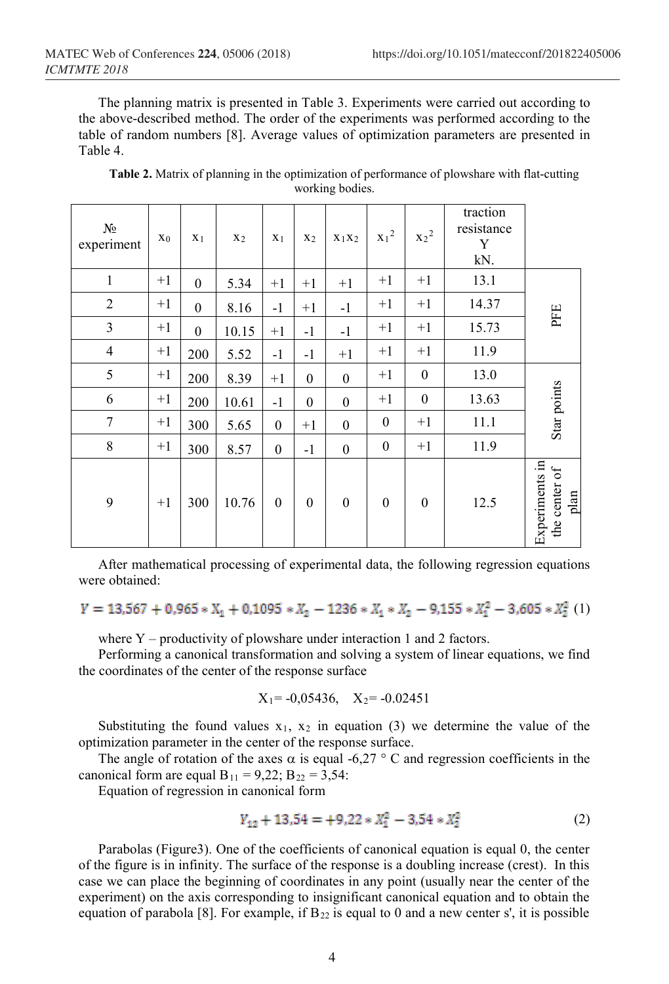The planning matrix is presented in Table 3. Experiments were carried out according to the above-described method. The order of the experiments was performed according to the table of random numbers [8]. Average values of optimization parameters are presented in Table 4.

| $N_2$<br>experiment | X <sub>0</sub> | X <sub>1</sub>   | X <sub>2</sub> | $X_1$            | X <sub>2</sub>   | $X_1X_2$         | $x_1^2$          | $x_2^2$          | traction<br>resistance<br>Y<br>kN. |                                         |
|---------------------|----------------|------------------|----------------|------------------|------------------|------------------|------------------|------------------|------------------------------------|-----------------------------------------|
| $\mathbf{1}$        | $+1$           | $\boldsymbol{0}$ | 5.34           | $+1$             | $+1$             | $+1$             | $+1$             | $+1$             | 13.1                               |                                         |
| $\overline{2}$      | $+1$           | $\theta$         | 8.16           | $-1$             | $+1$             | $-1$             | $+1$             | $+1$             | 14.37                              |                                         |
| $\mathfrak{Z}$      | $+1$           | $\boldsymbol{0}$ | 10.15          | $+1$             | $-1$             | $-1$             | $+1$             | $+1$             | 15.73                              | PFE                                     |
| $\overline{4}$      | $+1$           | 200              | 5.52           | $-1$             | $-1$             | $+1$             | $+1$             | $+1$             | 11.9                               |                                         |
| 5                   | $+1$           | 200              | 8.39           | $+1$             | $\boldsymbol{0}$ | $\boldsymbol{0}$ | $+1$             | $\boldsymbol{0}$ | 13.0                               |                                         |
| 6                   | $+1$           | 200              | 10.61          | $-1$             | $\boldsymbol{0}$ | $\boldsymbol{0}$ | $+1$             | $\boldsymbol{0}$ | 13.63                              | Star points                             |
| $\tau$              | $+1$           | 300              | 5.65           | $\boldsymbol{0}$ | $+1$             | $\boldsymbol{0}$ | $\boldsymbol{0}$ | $+1$             | 11.1                               |                                         |
| $\,$ 8 $\,$         | $+1$           | 300              | 8.57           | $\boldsymbol{0}$ | $-1$             | $\boldsymbol{0}$ | $\boldsymbol{0}$ | $+1$             | 11.9                               |                                         |
| 9                   | $+1$           | 300              | 10.76          | $\boldsymbol{0}$ | $\boldsymbol{0}$ | $\boldsymbol{0}$ | $\boldsymbol{0}$ | $\boldsymbol{0}$ | 12.5                               | Experiments in<br>the center of<br>plan |

**Table 2.** Matrix of planning in the optimization of performance of plowshare with flat-cutting working bodies.

After mathematical processing of experimental data, the following regression equations were obtained:

$$
Y = 13,567 + 0,965 * X_1 + 0,1095 * X_2 - 1236 * X_1 * X_2 - 9,155 * X_1^2 - 3,605 * X_2^2
$$
(1)

where  $Y$  – productivity of plowshare under interaction 1 and 2 factors.

Performing a canonical transformation and solving a system of linear equations, we find the coordinates of the center of the response surface

$$
X_1 = -0.05436
$$
,  $X_2 = -0.02451$ 

Substituting the found values  $x_1$ ,  $x_2$  in equation (3) we determine the value of the optimization parameter in the center of the response surface.

The angle of rotation of the axes  $\alpha$  is equal -6.27 ° C and regression coefficients in the canonical form are equal  $B_{11} = 9,22$ ;  $B_{22} = 3,54$ :

Equation of regression in canonical form

$$
Y_{12} + 13.54 = +9.22 \times X_1^2 - 3.54 \times X_2^2 \tag{2}
$$

Parabolas (Figure3). One of the coefficients of canonical equation is equal 0, the center of the figure is in infinity. The surface of the response is a doubling increase (crest). In this case we can place the beginning of coordinates in any point (usually near the center of the experiment) on the axis corresponding to insignificant canonical equation and to obtain the equation of parabola [8]. For example, if  $B_{22}$  is equal to 0 and a new center s', it is possible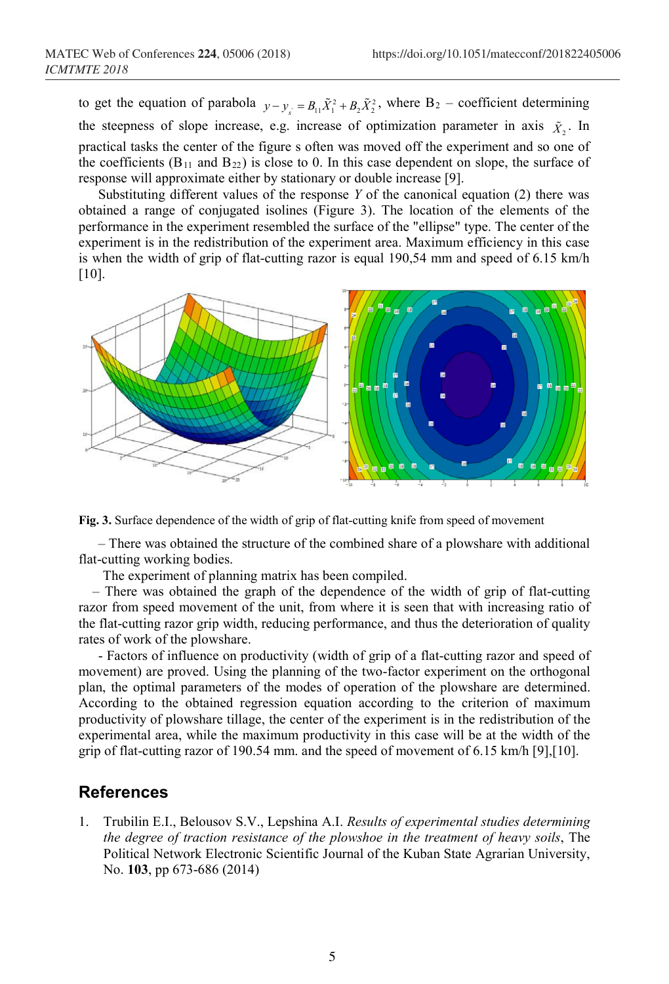to get the equation of parabola  $y - y_s = B_{11} \tilde{X}_1^2 + B_2 \tilde{X}_2^2$ , where B<sub>2</sub> – coefficient determining the steepness of slope increase, e.g. increase of optimization parameter in axis  $\tilde{X}_2$ . In practical tasks the center of the figure s often was moved off the experiment and so one of the coefficients ( $B_{11}$  and  $B_{22}$ ) is close to 0. In this case dependent on slope, the surface of response will approximate either by stationary or double increase [9].

Substituting different values of the response *Y* of the canonical equation (2) there was obtained a range of conjugated isolines (Figure 3). The location of the elements of the performance in the experiment resembled the surface of the "ellipse" type. The center of the experiment is in the redistribution of the experiment area. Maximum efficiency in this case is when the width of grip of flat-cutting razor is equal 190,54 mm and speed of 6.15 km/h [10].



**Fig. 3.** Surface dependence of the width of grip of flat-cutting knife from speed of movement

– There was obtained the structure of the combined share of a plowshare with additional flat-cutting working bodies.

The experiment of planning matrix has been compiled.

 – There was obtained the graph of the dependence of the width of grip of flat-cutting razor from speed movement of the unit, from where it is seen that with increasing ratio of the flat-cutting razor grip width, reducing performance, and thus the deterioration of quality rates of work of the plowshare.

- Factors of influence on productivity (width of grip of a flat-cutting razor and speed of movement) are proved. Using the planning of the two-factor experiment on the orthogonal plan, the optimal parameters of the modes of operation of the plowshare are determined. According to the obtained regression equation according to the criterion of maximum productivity of plowshare tillage, the center of the experiment is in the redistribution of the experimental area, while the maximum productivity in this case will be at the width of the grip of flat-cutting razor of 190.54 mm. and the speed of movement of 6.15 km/h [9],[10].

## **References**

1. Trubilin E.I., Belousov S.V., Lepshina A.I. *Results of experimental studies determining the degree of traction resistance of the plowshoe in the treatment of heavy soils*, The Political Network Electronic Scientific Journal of the Kuban State Agrarian University, No. **103**, pp 673-686 (2014)